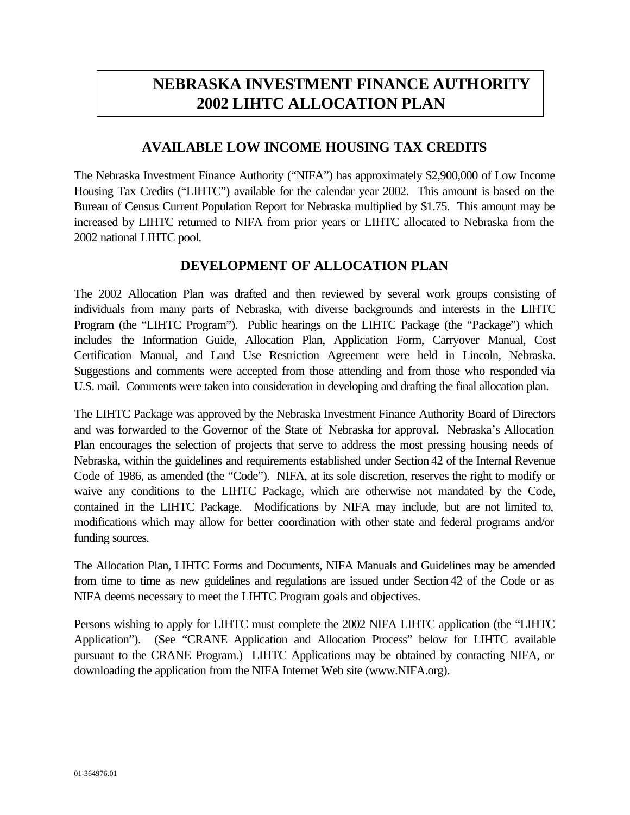# **NEBRASKA INVESTMENT FINANCE AUTHORITY 2002 LIHTC ALLOCATION PLAN**

#### **AVAILABLE LOW INCOME HOUSING TAX CREDITS**

The Nebraska Investment Finance Authority ("NIFA") has approximately \$2,900,000 of Low Income Housing Tax Credits ("LIHTC") available for the calendar year 2002. This amount is based on the Bureau of Census Current Population Report for Nebraska multiplied by \$1.75. This amount may be increased by LIHTC returned to NIFA from prior years or LIHTC allocated to Nebraska from the 2002 national LIHTC pool.

#### **DEVELOPMENT OF ALLOCATION PLAN**

The 2002 Allocation Plan was drafted and then reviewed by several work groups consisting of individuals from many parts of Nebraska, with diverse backgrounds and interests in the LIHTC Program (the "LIHTC Program"). Public hearings on the LIHTC Package (the "Package") which includes the Information Guide, Allocation Plan, Application Form, Carryover Manual, Cost Certification Manual, and Land Use Restriction Agreement were held in Lincoln, Nebraska. Suggestions and comments were accepted from those attending and from those who responded via U.S. mail. Comments were taken into consideration in developing and drafting the final allocation plan.

The LIHTC Package was approved by the Nebraska Investment Finance Authority Board of Directors and was forwarded to the Governor of the State of Nebraska for approval. Nebraska's Allocation Plan encourages the selection of projects that serve to address the most pressing housing needs of Nebraska, within the guidelines and requirements established under Section 42 of the Internal Revenue Code of 1986, as amended (the "Code"). NIFA, at its sole discretion, reserves the right to modify or waive any conditions to the LIHTC Package, which are otherwise not mandated by the Code, contained in the LIHTC Package. Modifications by NIFA may include, but are not limited to, modifications which may allow for better coordination with other state and federal programs and/or funding sources.

The Allocation Plan, LIHTC Forms and Documents, NIFA Manuals and Guidelines may be amended from time to time as new guidelines and regulations are issued under Section 42 of the Code or as NIFA deems necessary to meet the LIHTC Program goals and objectives.

Persons wishing to apply for LIHTC must complete the 2002 NIFA LIHTC application (the "LIHTC Application"). (See "CRANE Application and Allocation Process" below for LIHTC available pursuant to the CRANE Program.) LIHTC Applications may be obtained by contacting NIFA, or downloading the application from the NIFA Internet Web site (www.NIFA.org).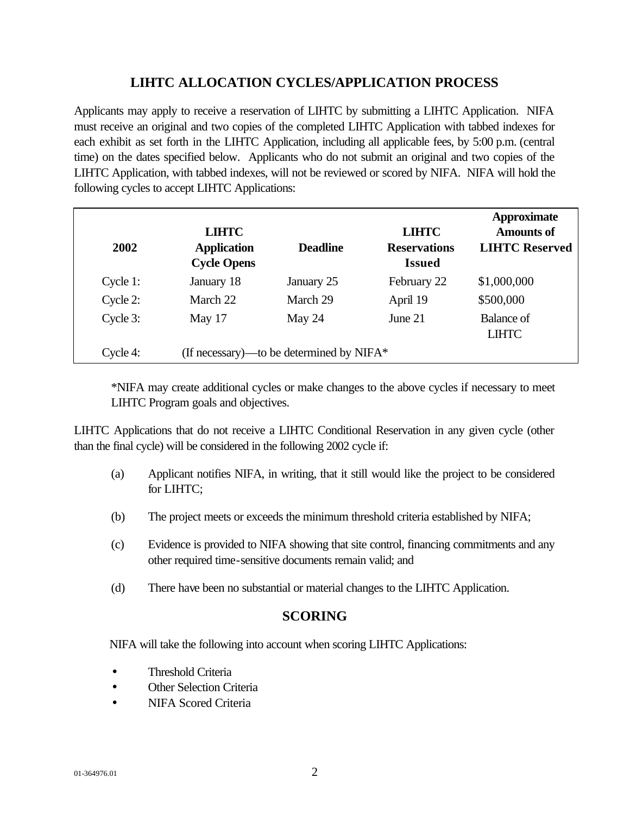### **LIHTC ALLOCATION CYCLES/APPLICATION PROCESS**

Applicants may apply to receive a reservation of LIHTC by submitting a LIHTC Application. NIFA must receive an original and two copies of the completed LIHTC Application with tabbed indexes for each exhibit as set forth in the LIHTC Application, including all applicable fees, by 5:00 p.m. (central time) on the dates specified below. Applicants who do not submit an original and two copies of the LIHTC Application, with tabbed indexes, will not be reviewed or scored by NIFA. NIFA will hold the following cycles to accept LIHTC Applications:

| 2002     | <b>LIHTC</b><br><b>Application</b><br><b>Cycle Opens</b> | <b>Deadline</b>                             | <b>LIHTC</b><br><b>Reservations</b><br><b>Issued</b> | <b>Approximate</b><br><b>Amounts of</b><br><b>LIHTC Reserved</b> |
|----------|----------------------------------------------------------|---------------------------------------------|------------------------------------------------------|------------------------------------------------------------------|
| Cycle 1: | January 18                                               | January 25                                  | February 22                                          | \$1,000,000                                                      |
| Cycle 2: | March 22                                                 | March 29                                    | April 19                                             | \$500,000                                                        |
| Cycle 3: | May 17                                                   | May $24$                                    | June $21$                                            | Balance of<br><b>LIHTC</b>                                       |
| Cycle 4: |                                                          | (If necessary)—to be determined by NIFA $*$ |                                                      |                                                                  |

\*NIFA may create additional cycles or make changes to the above cycles if necessary to meet LIHTC Program goals and objectives.

LIHTC Applications that do not receive a LIHTC Conditional Reservation in any given cycle (other than the final cycle) will be considered in the following 2002 cycle if:

- (a) Applicant notifies NIFA, in writing, that it still would like the project to be considered for LIHTC;
- (b) The project meets or exceeds the minimum threshold criteria established by NIFA;
- (c) Evidence is provided to NIFA showing that site control, financing commitments and any other required time-sensitive documents remain valid; and
- (d) There have been no substantial or material changes to the LIHTC Application.

## **SCORING**

NIFA will take the following into account when scoring LIHTC Applications:

- Threshold Criteria
- Other Selection Criteria
- NIFA Scored Criteria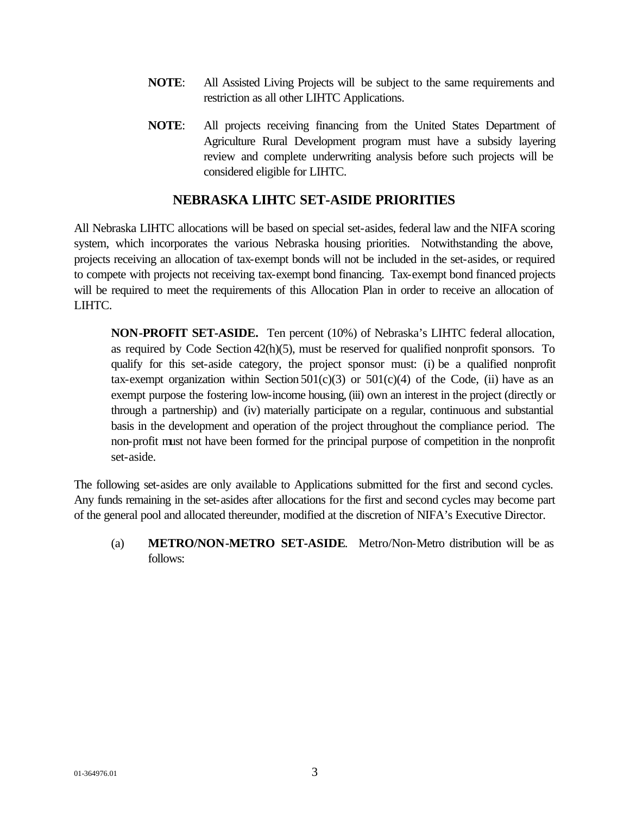- **NOTE**: All Assisted Living Projects will be subject to the same requirements and restriction as all other LIHTC Applications.
- **NOTE**: All projects receiving financing from the United States Department of Agriculture Rural Development program must have a subsidy layering review and complete underwriting analysis before such projects will be considered eligible for LIHTC.

#### **NEBRASKA LIHTC SET-ASIDE PRIORITIES**

All Nebraska LIHTC allocations will be based on special set-asides, federal law and the NIFA scoring system, which incorporates the various Nebraska housing priorities. Notwithstanding the above, projects receiving an allocation of tax-exempt bonds will not be included in the set-asides, or required to compete with projects not receiving tax-exempt bond financing. Tax-exempt bond financed projects will be required to meet the requirements of this Allocation Plan in order to receive an allocation of LIHTC.

**NON-PROFIT SET-ASIDE.** Ten percent (10%) of Nebraska's LIHTC federal allocation, as required by Code Section 42(h)(5), must be reserved for qualified nonprofit sponsors. To qualify for this set-aside category, the project sponsor must: (i) be a qualified nonprofit tax-exempt organization within Section  $501(c)(3)$  or  $501(c)(4)$  of the Code, (ii) have as an exempt purpose the fostering low-income housing, (iii) own an interest in the project (directly or through a partnership) and (iv) materially participate on a regular, continuous and substantial basis in the development and operation of the project throughout the compliance period. The non-profit must not have been formed for the principal purpose of competition in the nonprofit set-aside.

The following set-asides are only available to Applications submitted for the first and second cycles. Any funds remaining in the set-asides after allocations for the first and second cycles may become part of the general pool and allocated thereunder, modified at the discretion of NIFA's Executive Director.

(a) **METRO/NON-METRO SET-ASIDE**. Metro/Non-Metro distribution will be as follows: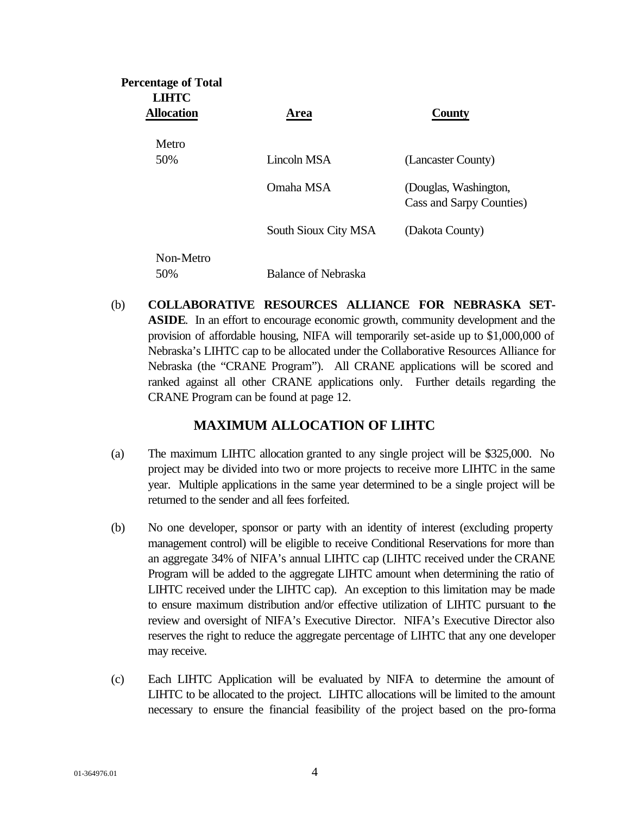| <b>Percentage of Total</b><br><b>LIHTC</b> |                            |                                                   |
|--------------------------------------------|----------------------------|---------------------------------------------------|
| <b>Allocation</b>                          | Area                       | <b>County</b>                                     |
| Metro                                      |                            |                                                   |
| 50%                                        | Lincoln MSA                | (Lancaster County)                                |
|                                            | Omaha MSA                  | (Douglas, Washington,<br>Cass and Sarpy Counties) |
|                                            | South Sioux City MSA       | (Dakota County)                                   |
| Non-Metro                                  |                            |                                                   |
| 50%                                        | <b>Balance of Nebraska</b> |                                                   |

(b) **COLLABORATIVE RESOURCES ALLIANCE FOR NEBRASKA SET-ASIDE**. In an effort to encourage economic growth, community development and the provision of affordable housing, NIFA will temporarily set-aside up to \$1,000,000 of Nebraska's LIHTC cap to be allocated under the Collaborative Resources Alliance for Nebraska (the "CRANE Program"). All CRANE applications will be scored and ranked against all other CRANE applications only. Further details regarding the CRANE Program can be found at page 12.

#### **MAXIMUM ALLOCATION OF LIHTC**

- (a) The maximum LIHTC allocation granted to any single project will be \$325,000. No project may be divided into two or more projects to receive more LIHTC in the same year. Multiple applications in the same year determined to be a single project will be returned to the sender and all fees forfeited.
- (b) No one developer, sponsor or party with an identity of interest (excluding property management control) will be eligible to receive Conditional Reservations for more than an aggregate 34% of NIFA's annual LIHTC cap (LIHTC received under the CRANE Program will be added to the aggregate LIHTC amount when determining the ratio of LIHTC received under the LIHTC cap). An exception to this limitation may be made to ensure maximum distribution and/or effective utilization of LIHTC pursuant to the review and oversight of NIFA's Executive Director. NIFA's Executive Director also reserves the right to reduce the aggregate percentage of LIHTC that any one developer may receive.
- (c) Each LIHTC Application will be evaluated by NIFA to determine the amount of LIHTC to be allocated to the project. LIHTC allocations will be limited to the amount necessary to ensure the financial feasibility of the project based on the pro-forma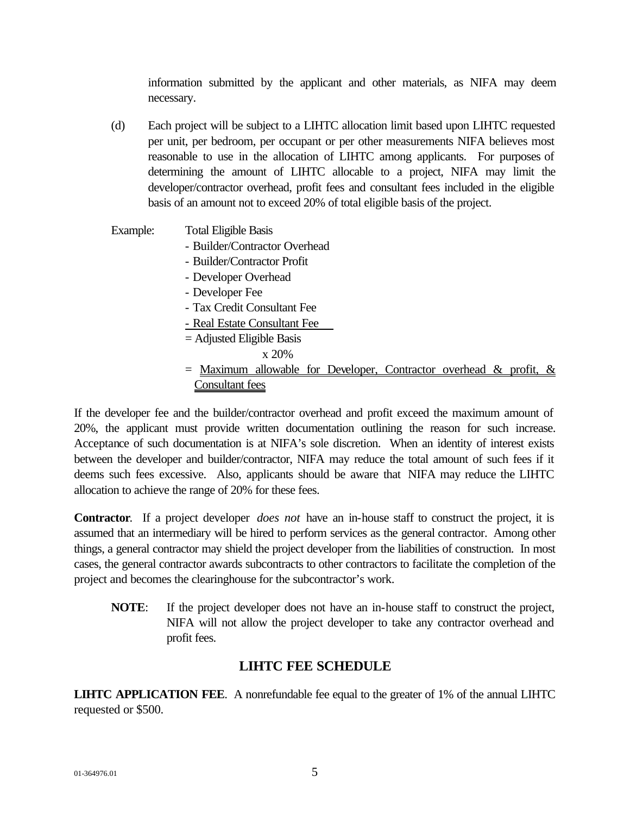information submitted by the applicant and other materials, as NIFA may deem necessary.

- (d) Each project will be subject to a LIHTC allocation limit based upon LIHTC requested per unit, per bedroom, per occupant or per other measurements NIFA believes most reasonable to use in the allocation of LIHTC among applicants. For purposes of determining the amount of LIHTC allocable to a project, NIFA may limit the developer/contractor overhead, profit fees and consultant fees included in the eligible basis of an amount not to exceed 20% of total eligible basis of the project.
- Example: Total Eligible Basis - Builder/Contractor Overhead - Builder/Contractor Profit - Developer Overhead - Developer Fee - Tax Credit Consultant Fee - Real Estate Consultant Fee = Adjusted Eligible Basis
	- x 20%
	- $=$  Maximum allowable for Developer, Contractor overhead & profit,  $\&$ Consultant fees

If the developer fee and the builder/contractor overhead and profit exceed the maximum amount of 20%, the applicant must provide written documentation outlining the reason for such increase. Acceptance of such documentation is at NIFA's sole discretion. When an identity of interest exists between the developer and builder/contractor, NIFA may reduce the total amount of such fees if it deems such fees excessive. Also, applicants should be aware that NIFA may reduce the LIHTC allocation to achieve the range of 20% for these fees.

**Contractor**. If a project developer *does not* have an in-house staff to construct the project, it is assumed that an intermediary will be hired to perform services as the general contractor. Among other things, a general contractor may shield the project developer from the liabilities of construction. In most cases, the general contractor awards subcontracts to other contractors to facilitate the completion of the project and becomes the clearinghouse for the subcontractor's work.

**NOTE**: If the project developer does not have an in-house staff to construct the project, NIFA will not allow the project developer to take any contractor overhead and profit fees.

#### **LIHTC FEE SCHEDULE**

**LIHTC APPLICATION FEE**. A nonrefundable fee equal to the greater of 1% of the annual LIHTC requested or \$500.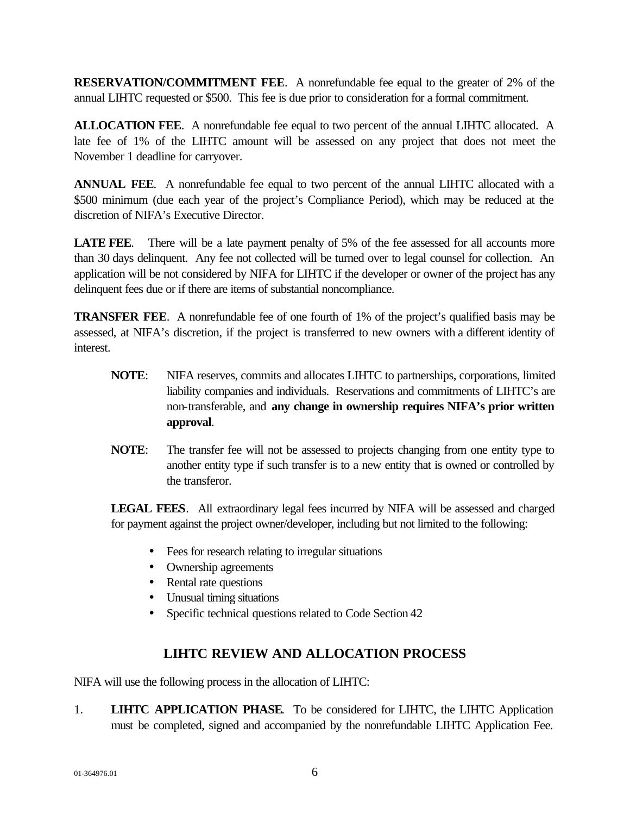**RESERVATION/COMMITMENT FEE**. A nonrefundable fee equal to the greater of 2% of the annual LIHTC requested or \$500. This fee is due prior to consideration for a formal commitment.

**ALLOCATION FEE**. A nonrefundable fee equal to two percent of the annual LIHTC allocated. A late fee of 1% of the LIHTC amount will be assessed on any project that does not meet the November 1 deadline for carryover.

**ANNUAL FEE**. A nonrefundable fee equal to two percent of the annual LIHTC allocated with a \$500 minimum (due each year of the project's Compliance Period), which may be reduced at the discretion of NIFA's Executive Director.

**LATE FEE.** There will be a late payment penalty of 5% of the fee assessed for all accounts more than 30 days delinquent. Any fee not collected will be turned over to legal counsel for collection. An application will be not considered by NIFA for LIHTC if the developer or owner of the project has any delinquent fees due or if there are items of substantial noncompliance.

**TRANSFER FEE.** A nonrefundable fee of one fourth of 1% of the project's qualified basis may be assessed, at NIFA's discretion, if the project is transferred to new owners with a different identity of interest.

- **NOTE**: NIFA reserves, commits and allocates LIHTC to partnerships, corporations, limited liability companies and individuals. Reservations and commitments of LIHTC's are non-transferable, and **any change in ownership requires NIFA's prior written approval**.
- **NOTE**: The transfer fee will not be assessed to projects changing from one entity type to another entity type if such transfer is to a new entity that is owned or controlled by the transferor.

**LEGAL FEES**. All extraordinary legal fees incurred by NIFA will be assessed and charged for payment against the project owner/developer, including but not limited to the following:

- Fees for research relating to irregular situations
- Ownership agreements
- Rental rate questions
- Unusual timing situations
- Specific technical questions related to Code Section 42

## **LIHTC REVIEW AND ALLOCATION PROCESS**

NIFA will use the following process in the allocation of LIHTC:

1. **LIHTC APPLICATION PHASE**. To be considered for LIHTC, the LIHTC Application must be completed, signed and accompanied by the nonrefundable LIHTC Application Fee.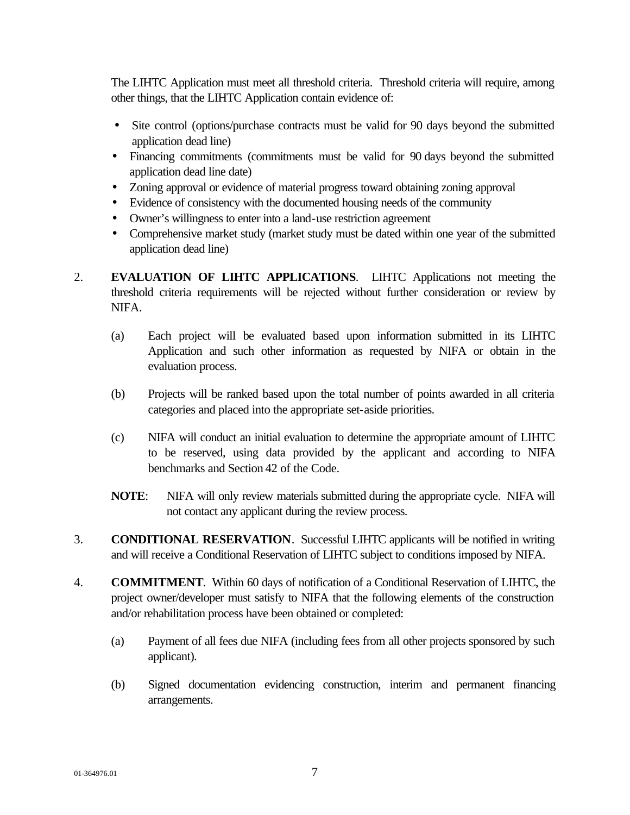The LIHTC Application must meet all threshold criteria. Threshold criteria will require, among other things, that the LIHTC Application contain evidence of:

- Site control (options/purchase contracts must be valid for 90 days beyond the submitted application dead line)
- Financing commitments (commitments must be valid for 90 days beyond the submitted application dead line date)
- Zoning approval or evidence of material progress toward obtaining zoning approval
- Evidence of consistency with the documented housing needs of the community
- Owner's willingness to enter into a land-use restriction agreement
- Comprehensive market study (market study must be dated within one year of the submitted application dead line)
- 2. **EVALUATION OF LIHTC APPLICATIONS**. LIHTC Applications not meeting the threshold criteria requirements will be rejected without further consideration or review by NIFA.
	- (a) Each project will be evaluated based upon information submitted in its LIHTC Application and such other information as requested by NIFA or obtain in the evaluation process.
	- (b) Projects will be ranked based upon the total number of points awarded in all criteria categories and placed into the appropriate set-aside priorities.
	- (c) NIFA will conduct an initial evaluation to determine the appropriate amount of LIHTC to be reserved, using data provided by the applicant and according to NIFA benchmarks and Section 42 of the Code.
	- **NOTE**: NIFA will only review materials submitted during the appropriate cycle. NIFA will not contact any applicant during the review process.
- 3. **CONDITIONAL RESERVATION**. Successful LIHTC applicants will be notified in writing and will receive a Conditional Reservation of LIHTC subject to conditions imposed by NIFA.
- 4. **COMMITMENT**. Within 60 days of notification of a Conditional Reservation of LIHTC, the project owner/developer must satisfy to NIFA that the following elements of the construction and/or rehabilitation process have been obtained or completed:
	- (a) Payment of all fees due NIFA (including fees from all other projects sponsored by such applicant).
	- (b) Signed documentation evidencing construction, interim and permanent financing arrangements.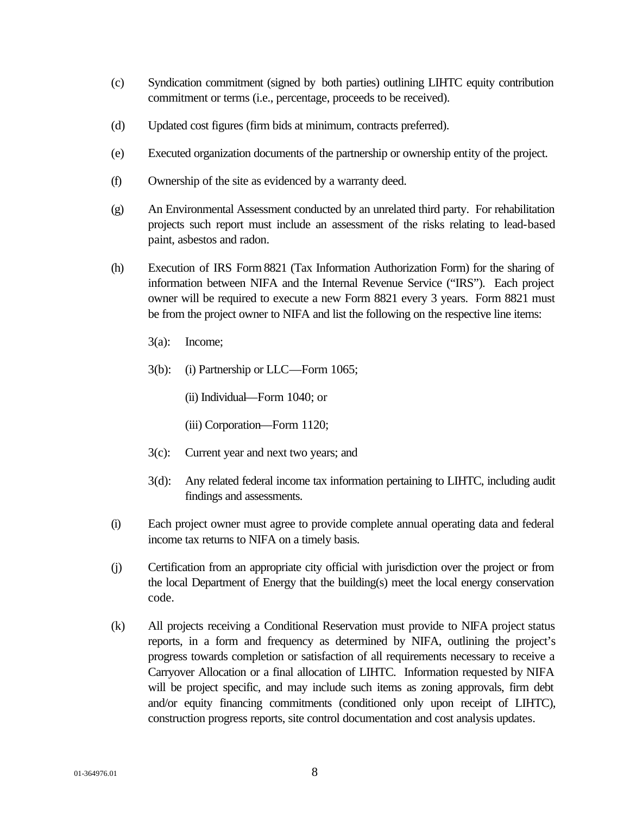- (c) Syndication commitment (signed by both parties) outlining LIHTC equity contribution commitment or terms (i.e., percentage, proceeds to be received).
- (d) Updated cost figures (firm bids at minimum, contracts preferred).
- (e) Executed organization documents of the partnership or ownership entity of the project.
- (f) Ownership of the site as evidenced by a warranty deed.
- (g) An Environmental Assessment conducted by an unrelated third party. For rehabilitation projects such report must include an assessment of the risks relating to lead-based paint, asbestos and radon.
- (h) Execution of IRS Form 8821 (Tax Information Authorization Form) for the sharing of information between NIFA and the Internal Revenue Service ("IRS"). Each project owner will be required to execute a new Form 8821 every 3 years. Form 8821 must be from the project owner to NIFA and list the following on the respective line items:
	- 3(a): Income;
	- 3(b): (i) Partnership or LLC—Form 1065;
		- (ii) Individual—Form 1040; or
		- (iii) Corporation—Form 1120;
	- 3(c): Current year and next two years; and
	- 3(d): Any related federal income tax information pertaining to LIHTC, including audit findings and assessments.
- (i) Each project owner must agree to provide complete annual operating data and federal income tax returns to NIFA on a timely basis.
- (j) Certification from an appropriate city official with jurisdiction over the project or from the local Department of Energy that the building(s) meet the local energy conservation code.
- (k) All projects receiving a Conditional Reservation must provide to NIFA project status reports, in a form and frequency as determined by NIFA, outlining the project's progress towards completion or satisfaction of all requirements necessary to receive a Carryover Allocation or a final allocation of LIHTC. Information requested by NIFA will be project specific, and may include such items as zoning approvals, firm debt and/or equity financing commitments (conditioned only upon receipt of LIHTC), construction progress reports, site control documentation and cost analysis updates.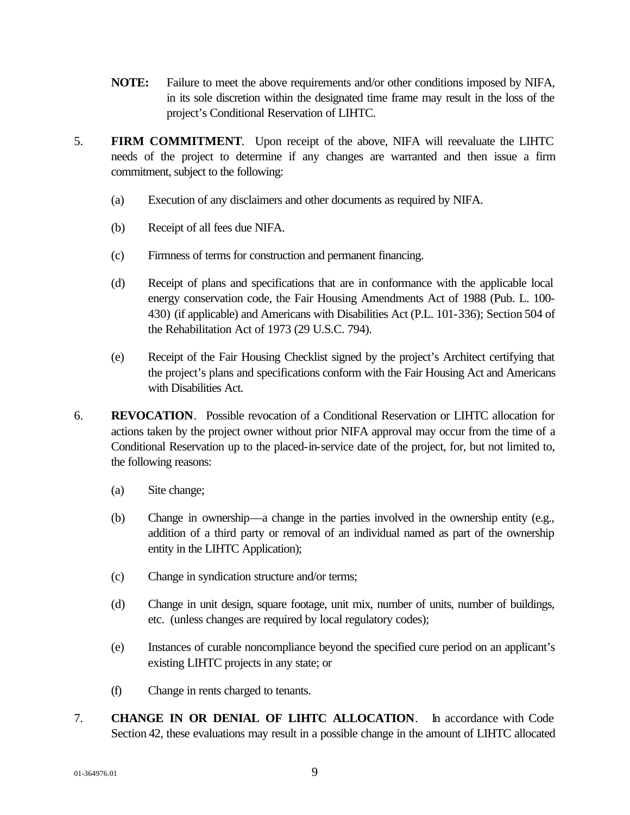- **NOTE:** Failure to meet the above requirements and/or other conditions imposed by NIFA, in its sole discretion within the designated time frame may result in the loss of the project's Conditional Reservation of LIHTC.
- 5. **FIRM COMMITMENT**. Upon receipt of the above, NIFA will reevaluate the LIHTC needs of the project to determine if any changes are warranted and then issue a firm commitment, subject to the following:
	- (a) Execution of any disclaimers and other documents as required by NIFA.
	- (b) Receipt of all fees due NIFA.
	- (c) Firmness of terms for construction and permanent financing.
	- (d) Receipt of plans and specifications that are in conformance with the applicable local energy conservation code, the Fair Housing Amendments Act of 1988 (Pub. L. 100- 430) (if applicable) and Americans with Disabilities Act (P.L. 101-336); Section 504 of the Rehabilitation Act of 1973 (29 U.S.C. 794).
	- (e) Receipt of the Fair Housing Checklist signed by the project's Architect certifying that the project's plans and specifications conform with the Fair Housing Act and Americans with Disabilities Act.
- 6. **REVOCATION**.Possible revocation of a Conditional Reservation or LIHTC allocation for actions taken by the project owner without prior NIFA approval may occur from the time of a Conditional Reservation up to the placed-in-service date of the project, for, but not limited to, the following reasons:
	- (a) Site change;
	- (b) Change in ownership—a change in the parties involved in the ownership entity (e.g., addition of a third party or removal of an individual named as part of the ownership entity in the LIHTC Application);
	- (c) Change in syndication structure and/or terms;
	- (d) Change in unit design, square footage, unit mix, number of units, number of buildings, etc. (unless changes are required by local regulatory codes);
	- (e) Instances of curable noncompliance beyond the specified cure period on an applicant's existing LIHTC projects in any state; or
	- (f) Change in rents charged to tenants.
- 7. **CHANGE IN OR DENIAL OF LIHTC ALLOCATION**. In accordance with Code Section 42, these evaluations may result in a possible change in the amount of LIHTC allocated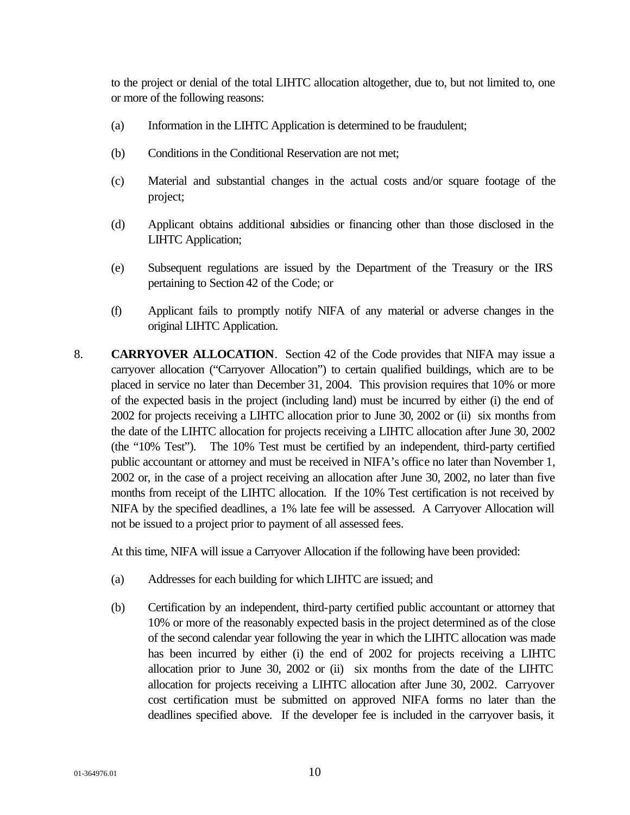to the project or denial of the total LIHTC allocation altogether, due to, but not limited to, one or more of the following reasons:

- (a) Information in the LIHTC Application is determined to be fraudulent;
- (b) Conditions in the Conditional Reservation are not met;
- (c) Material and substantial changes in the actual costs and/or square footage of the project;
- (d) Applicant obtains additional subsidies or financing other than those disclosed in the LIHTC Application;
- (e) Subsequent regulations are issued by the Department of the Treasury or the IRS pertaining to Section 42 of the Code; or
- (f) Applicant fails to promptly notify NIFA of any material or adverse changes in the original LIHTC Application.
- 8. **CARRYOVER ALLOCATION**. Section 42 of the Code provides that NIFA may issue a carryover allocation ("Carryover Allocation") to certain qualified buildings, which are to be placed in service no later than December 31, 2004. This provision requires that 10% or more of the expected basis in the project (including land) must be incurred by either (i) the end of 2002 for projects receiving a LIHTC allocation prior to June 30, 2002 or (ii) six months from the date of the LIHTC allocation for projects receiving a LIHTC allocation after June 30, 2002 (the "10% Test"). The 10% Test must be certified by an independent, third-party certified public accountant or attorney and must be received in NIFA's office no later than November 1, 2002 or, in the case of a project receiving an allocation after June 30, 2002, no later than five months from receipt of the LIHTC allocation. If the 10% Test certification is not received by NIFA by the specified deadlines, a 1% late fee will be assessed. A Carryover Allocation will not be issued to a project prior to payment of all assessed fees.

At this time, NIFA will issue a Carryover Allocation if the following have been provided:

- (a) Addresses for each building for which LIHTC are issued; and
- (b) Certification by an independent, third-party certified public accountant or attorney that 10% or more of the reasonably expected basis in the project determined as of the close of the second calendar year following the year in which the LIHTC allocation was made has been incurred by either (i) the end of 2002 for projects receiving a LIHTC allocation prior to June 30, 2002 or (ii) six months from the date of the LIHTC allocation for projects receiving a LIHTC allocation after June 30, 2002. Carryover cost certification must be submitted on approved NIFA forms no later than the deadlines specified above. If the developer fee is included in the carryover basis, it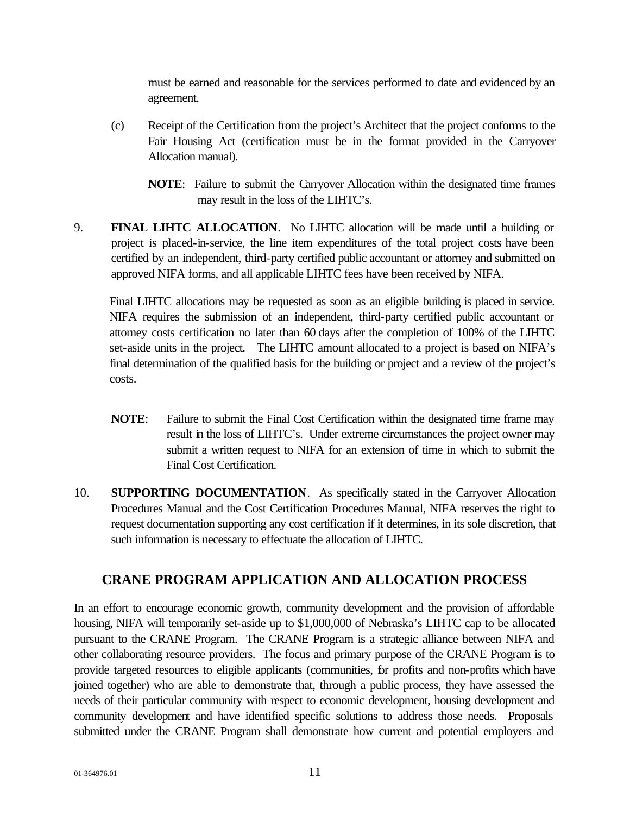must be earned and reasonable for the services performed to date and evidenced by an agreement.

- (c) Receipt of the Certification from the project's Architect that the project conforms to the Fair Housing Act (certification must be in the format provided in the Carryover Allocation manual).
	- **NOTE**: Failure to submit the Carryover Allocation within the designated time frames may result in the loss of the LIHTC's.
- 9. **FINAL LIHTC ALLOCATION**. No LIHTC allocation will be made until a building or project is placed-in-service, the line item expenditures of the total project costs have been certified by an independent, third-party certified public accountant or attorney and submitted on approved NIFA forms, and all applicable LIHTC fees have been received by NIFA.

Final LIHTC allocations may be requested as soon as an eligible building is placed in service. NIFA requires the submission of an independent, third-party certified public accountant or attorney costs certification no later than 60 days after the completion of 100% of the LIHTC set-aside units in the project. The LIHTC amount allocated to a project is based on NIFA's final determination of the qualified basis for the building or project and a review of the project's costs.

- **NOTE**: Failure to submit the Final Cost Certification within the designated time frame may result in the loss of LIHTC's. Under extreme circumstances the project owner may submit a written request to NIFA for an extension of time in which to submit the Final Cost Certification.
- 10. **SUPPORTING DOCUMENTATION**. As specifically stated in the Carryover Allocation Procedures Manual and the Cost Certification Procedures Manual, NIFA reserves the right to request documentation supporting any cost certification if it determines, in its sole discretion, that such information is necessary to effectuate the allocation of LIHTC.

## **CRANE PROGRAM APPLICATION AND ALLOCATION PROCESS**

In an effort to encourage economic growth, community development and the provision of affordable housing, NIFA will temporarily set-aside up to \$1,000,000 of Nebraska's LIHTC cap to be allocated pursuant to the CRANE Program. The CRANE Program is a strategic alliance between NIFA and other collaborating resource providers. The focus and primary purpose of the CRANE Program is to provide targeted resources to eligible applicants (communities, for profits and non-profits which have joined together) who are able to demonstrate that, through a public process, they have assessed the needs of their particular community with respect to economic development, housing development and community development and have identified specific solutions to address those needs. Proposals submitted under the CRANE Program shall demonstrate how current and potential employers and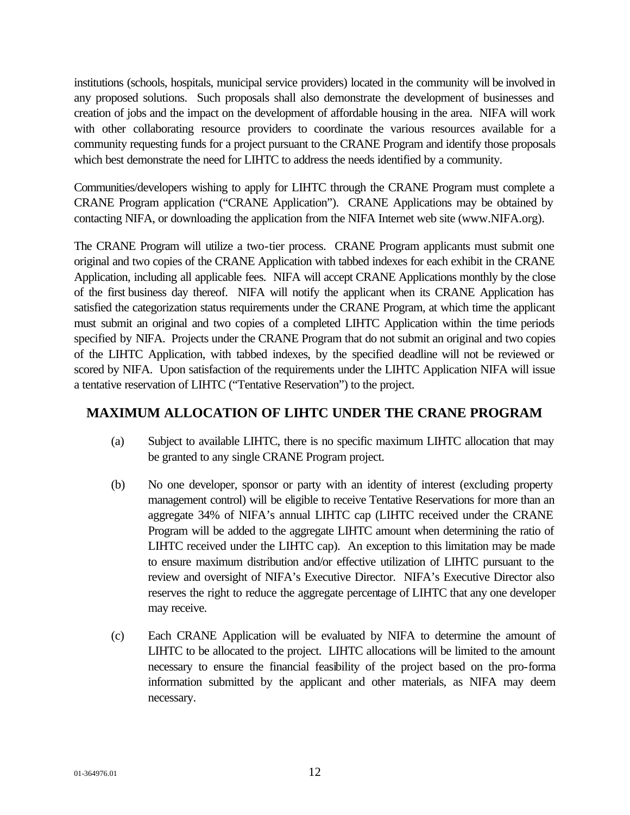institutions (schools, hospitals, municipal service providers) located in the community will be involved in any proposed solutions. Such proposals shall also demonstrate the development of businesses and creation of jobs and the impact on the development of affordable housing in the area. NIFA will work with other collaborating resource providers to coordinate the various resources available for a community requesting funds for a project pursuant to the CRANE Program and identify those proposals which best demonstrate the need for LIHTC to address the needs identified by a community.

Communities/developers wishing to apply for LIHTC through the CRANE Program must complete a CRANE Program application ("CRANE Application"). CRANE Applications may be obtained by contacting NIFA, or downloading the application from the NIFA Internet web site (www.NIFA.org).

The CRANE Program will utilize a two-tier process. CRANE Program applicants must submit one original and two copies of the CRANE Application with tabbed indexes for each exhibit in the CRANE Application, including all applicable fees. NIFA will accept CRANE Applications monthly by the close of the first business day thereof. NIFA will notify the applicant when its CRANE Application has satisfied the categorization status requirements under the CRANE Program, at which time the applicant must submit an original and two copies of a completed LIHTC Application within the time periods specified by NIFA. Projects under the CRANE Program that do not submit an original and two copies of the LIHTC Application, with tabbed indexes, by the specified deadline will not be reviewed or scored by NIFA. Upon satisfaction of the requirements under the LIHTC Application NIFA will issue a tentative reservation of LIHTC ("Tentative Reservation") to the project.

#### **MAXIMUM ALLOCATION OF LIHTC UNDER THE CRANE PROGRAM**

- (a) Subject to available LIHTC, there is no specific maximum LIHTC allocation that may be granted to any single CRANE Program project.
- (b) No one developer, sponsor or party with an identity of interest (excluding property management control) will be eligible to receive Tentative Reservations for more than an aggregate 34% of NIFA's annual LIHTC cap (LIHTC received under the CRANE Program will be added to the aggregate LIHTC amount when determining the ratio of LIHTC received under the LIHTC cap). An exception to this limitation may be made to ensure maximum distribution and/or effective utilization of LIHTC pursuant to the review and oversight of NIFA's Executive Director. NIFA's Executive Director also reserves the right to reduce the aggregate percentage of LIHTC that any one developer may receive.
- (c) Each CRANE Application will be evaluated by NIFA to determine the amount of LIHTC to be allocated to the project. LIHTC allocations will be limited to the amount necessary to ensure the financial feasibility of the project based on the pro-forma information submitted by the applicant and other materials, as NIFA may deem necessary.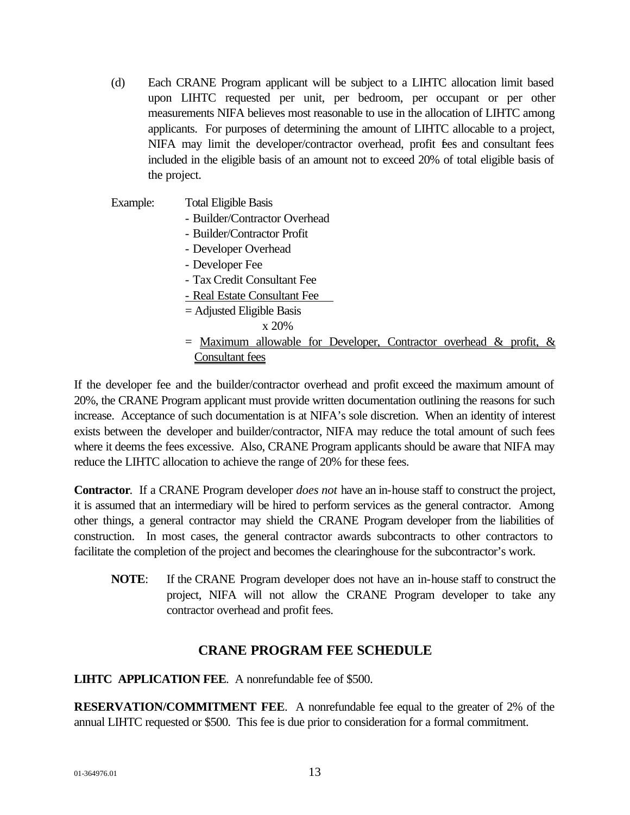- (d) Each CRANE Program applicant will be subject to a LIHTC allocation limit based upon LIHTC requested per unit, per bedroom, per occupant or per other measurements NIFA believes most reasonable to use in the allocation of LIHTC among applicants. For purposes of determining the amount of LIHTC allocable to a project, NIFA may limit the developer/contractor overhead, profit fees and consultant fees included in the eligible basis of an amount not to exceed 20% of total eligible basis of the project.
- Example: Total Eligible Basis - Builder/Contractor Overhead - Builder/Contractor Profit - Developer Overhead - Developer Fee - Tax Credit Consultant Fee - Real Estate Consultant Fee = Adjusted Eligible Basis x 20%  $=$  Maximum allowable for Developer, Contractor overhead & profit,  $\&$ Consultant fees

If the developer fee and the builder/contractor overhead and profit exceed the maximum amount of 20%, the CRANE Program applicant must provide written documentation outlining the reasons for such increase. Acceptance of such documentation is at NIFA's sole discretion. When an identity of interest exists between the developer and builder/contractor, NIFA may reduce the total amount of such fees where it deems the fees excessive. Also, CRANE Program applicants should be aware that NIFA may reduce the LIHTC allocation to achieve the range of 20% for these fees.

**Contractor**. If a CRANE Program developer *does not* have an in-house staff to construct the project, it is assumed that an intermediary will be hired to perform services as the general contractor. Among other things, a general contractor may shield the CRANE Program developer from the liabilities of construction. In most cases, the general contractor awards subcontracts to other contractors to facilitate the completion of the project and becomes the clearinghouse for the subcontractor's work.

**NOTE**: If the CRANE Program developer does not have an in-house staff to construct the project, NIFA will not allow the CRANE Program developer to take any contractor overhead and profit fees.

#### **CRANE PROGRAM FEE SCHEDULE**

#### **LIHTC APPLICATION FEE**. A nonrefundable fee of \$500.

**RESERVATION/COMMITMENT FEE**. A nonrefundable fee equal to the greater of 2% of the annual LIHTC requested or \$500. This fee is due prior to consideration for a formal commitment.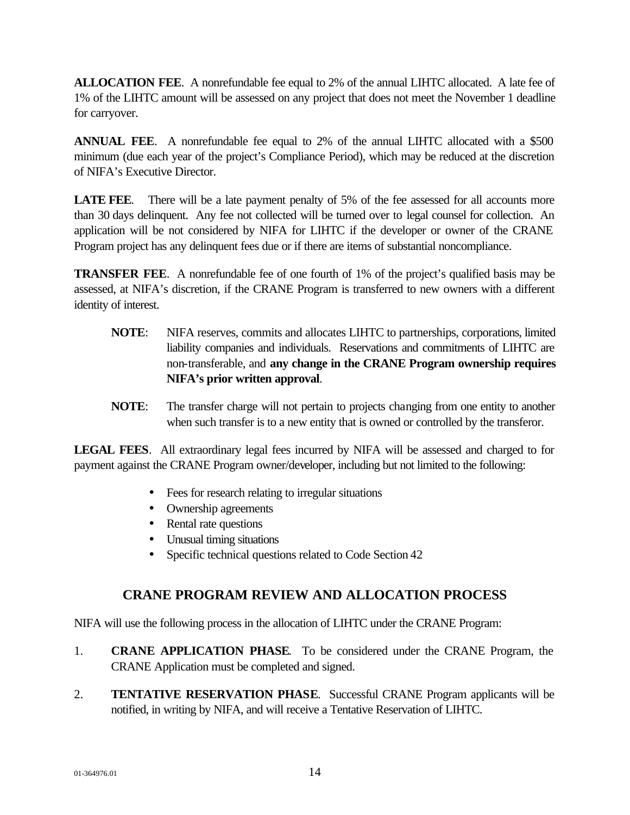**ALLOCATION FEE**. A nonrefundable fee equal to 2% of the annual LIHTC allocated. A late fee of 1% of the LIHTC amount will be assessed on any project that does not meet the November 1 deadline for carryover.

**ANNUAL FEE**. A nonrefundable fee equal to 2% of the annual LIHTC allocated with a \$500 minimum (due each year of the project's Compliance Period), which may be reduced at the discretion of NIFA's Executive Director.

**LATE FEE.** There will be a late payment penalty of 5% of the fee assessed for all accounts more than 30 days delinquent. Any fee not collected will be turned over to legal counsel for collection. An application will be not considered by NIFA for LIHTC if the developer or owner of the CRANE Program project has any delinquent fees due or if there are items of substantial noncompliance.

**TRANSFER FEE**. A nonrefundable fee of one fourth of 1% of the project's qualified basis may be assessed, at NIFA's discretion, if the CRANE Program is transferred to new owners with a different identity of interest.

- **NOTE**: NIFA reserves, commits and allocates LIHTC to partnerships, corporations, limited liability companies and individuals. Reservations and commitments of LIHTC are non-transferable, and **any change in the CRANE Program ownership requires NIFA's prior written approval**.
- **NOTE**: The transfer charge will not pertain to projects changing from one entity to another when such transfer is to a new entity that is owned or controlled by the transferor.

**LEGAL FEES**. All extraordinary legal fees incurred by NIFA will be assessed and charged to for payment against the CRANE Program owner/developer, including but not limited to the following:

- Fees for research relating to irregular situations
- Ownership agreements
- Rental rate questions
- Unusual timing situations
- Specific technical questions related to Code Section 42

## **CRANE PROGRAM REVIEW AND ALLOCATION PROCESS**

NIFA will use the following process in the allocation of LIHTC under the CRANE Program:

- 1. **CRANE APPLICATION PHASE**. To be considered under the CRANE Program, the CRANE Application must be completed and signed.
- 2. **TENTATIVE RESERVATION PHASE**. Successful CRANE Program applicants will be notified, in writing by NIFA, and will receive a Tentative Reservation of LIHTC.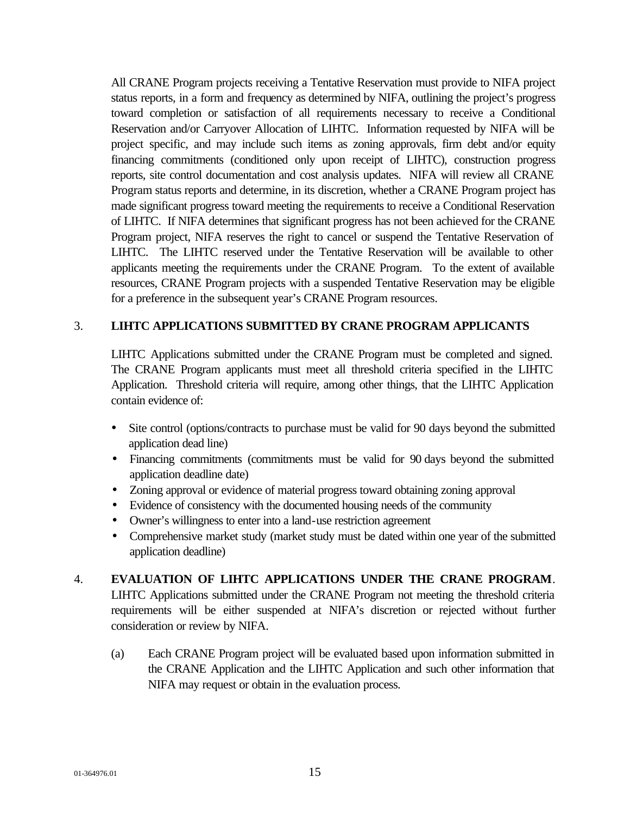All CRANE Program projects receiving a Tentative Reservation must provide to NIFA project status reports, in a form and frequency as determined by NIFA, outlining the project's progress toward completion or satisfaction of all requirements necessary to receive a Conditional Reservation and/or Carryover Allocation of LIHTC. Information requested by NIFA will be project specific, and may include such items as zoning approvals, firm debt and/or equity financing commitments (conditioned only upon receipt of LIHTC), construction progress reports, site control documentation and cost analysis updates. NIFA will review all CRANE Program status reports and determine, in its discretion, whether a CRANE Program project has made significant progress toward meeting the requirements to receive a Conditional Reservation of LIHTC. If NIFA determines that significant progress has not been achieved for the CRANE Program project, NIFA reserves the right to cancel or suspend the Tentative Reservation of LIHTC. The LIHTC reserved under the Tentative Reservation will be available to other applicants meeting the requirements under the CRANE Program. To the extent of available resources, CRANE Program projects with a suspended Tentative Reservation may be eligible for a preference in the subsequent year's CRANE Program resources.

#### 3. **LIHTC APPLICATIONS SUBMITTED BY CRANE PROGRAM APPLICANTS**

LIHTC Applications submitted under the CRANE Program must be completed and signed. The CRANE Program applicants must meet all threshold criteria specified in the LIHTC Application. Threshold criteria will require, among other things, that the LIHTC Application contain evidence of:

- Site control (options/contracts to purchase must be valid for 90 days beyond the submitted application dead line)
- Financing commitments (commitments must be valid for 90 days beyond the submitted application deadline date)
- Zoning approval or evidence of material progress toward obtaining zoning approval
- Evidence of consistency with the documented housing needs of the community
- Owner's willingness to enter into a land-use restriction agreement
- Comprehensive market study (market study must be dated within one year of the submitted application deadline)

#### 4. **EVALUATION OF LIHTC APPLICATIONS UNDER THE CRANE PROGRAM**.

LIHTC Applications submitted under the CRANE Program not meeting the threshold criteria requirements will be either suspended at NIFA's discretion or rejected without further consideration or review by NIFA.

(a) Each CRANE Program project will be evaluated based upon information submitted in the CRANE Application and the LIHTC Application and such other information that NIFA may request or obtain in the evaluation process.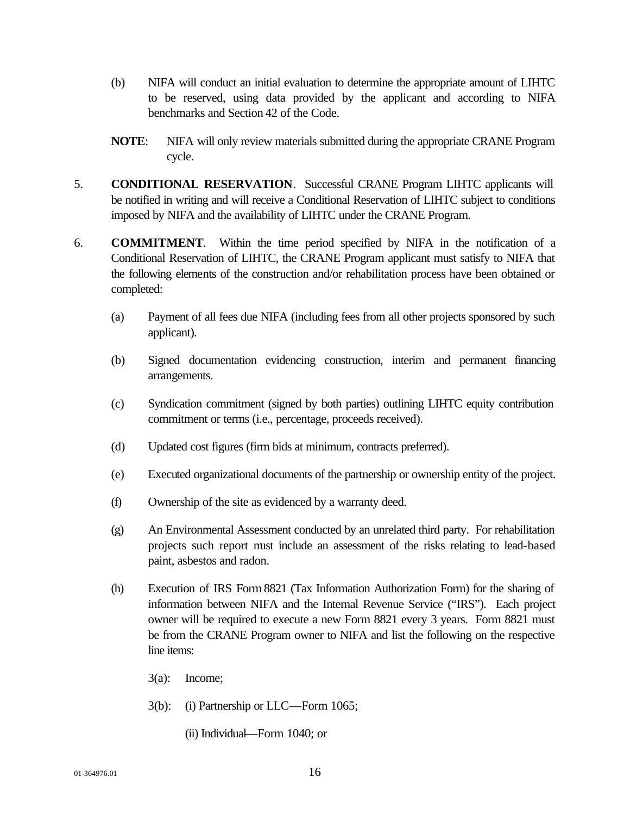- (b) NIFA will conduct an initial evaluation to determine the appropriate amount of LIHTC to be reserved, using data provided by the applicant and according to NIFA benchmarks and Section 42 of the Code.
- **NOTE**: NIFA will only review materials submitted during the appropriate CRANE Program cycle.
- 5. **CONDITIONAL RESERVATION**. Successful CRANE Program LIHTC applicants will be notified in writing and will receive a Conditional Reservation of LIHTC subject to conditions imposed by NIFA and the availability of LIHTC under the CRANE Program.
- 6. **COMMITMENT**. Within the time period specified by NIFA in the notification of a Conditional Reservation of LIHTC, the CRANE Program applicant must satisfy to NIFA that the following elements of the construction and/or rehabilitation process have been obtained or completed:
	- (a) Payment of all fees due NIFA (including fees from all other projects sponsored by such applicant).
	- (b) Signed documentation evidencing construction, interim and permanent financing arrangements.
	- (c) Syndication commitment (signed by both parties) outlining LIHTC equity contribution commitment or terms (i.e., percentage, proceeds received).
	- (d) Updated cost figures (firm bids at minimum, contracts preferred).
	- (e) Executed organizational documents of the partnership or ownership entity of the project.
	- (f) Ownership of the site as evidenced by a warranty deed.
	- (g) An Environmental Assessment conducted by an unrelated third party. For rehabilitation projects such report must include an assessment of the risks relating to lead-based paint, asbestos and radon.
	- (h) Execution of IRS Form 8821 (Tax Information Authorization Form) for the sharing of information between NIFA and the Internal Revenue Service ("IRS"). Each project owner will be required to execute a new Form 8821 every 3 years. Form 8821 must be from the CRANE Program owner to NIFA and list the following on the respective line items:
		- 3(a): Income;
		- 3(b): (i) Partnership or LLC—Form 1065;
			- (ii) Individual—Form 1040; or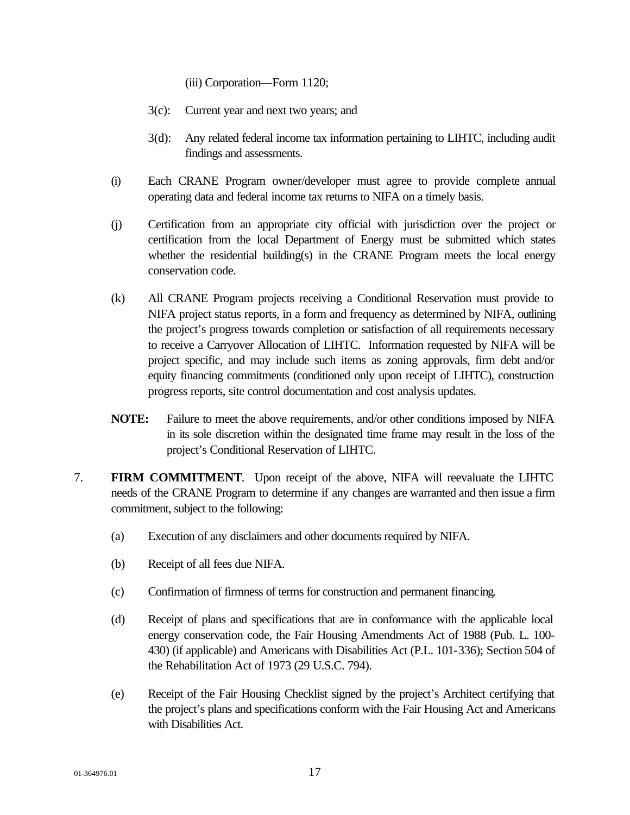(iii) Corporation—Form 1120;

- 3(c): Current year and next two years; and
- 3(d): Any related federal income tax information pertaining to LIHTC, including audit findings and assessments.
- (i) Each CRANE Program owner/developer must agree to provide complete annual operating data and federal income tax returns to NIFA on a timely basis.
- (j) Certification from an appropriate city official with jurisdiction over the project or certification from the local Department of Energy must be submitted which states whether the residential building(s) in the CRANE Program meets the local energy conservation code.
- (k) All CRANE Program projects receiving a Conditional Reservation must provide to NIFA project status reports, in a form and frequency as determined by NIFA, outlining the project's progress towards completion or satisfaction of all requirements necessary to receive a Carryover Allocation of LIHTC. Information requested by NIFA will be project specific, and may include such items as zoning approvals, firm debt and/or equity financing commitments (conditioned only upon receipt of LIHTC), construction progress reports, site control documentation and cost analysis updates.
- **NOTE:** Failure to meet the above requirements, and/or other conditions imposed by NIFA in its sole discretion within the designated time frame may result in the loss of the project's Conditional Reservation of LIHTC.
- 7. **FIRM COMMITMENT**. Upon receipt of the above, NIFA will reevaluate the LIHTC needs of the CRANE Program to determine if any changes are warranted and then issue a firm commitment, subject to the following:
	- (a) Execution of any disclaimers and other documents required by NIFA.
	- (b) Receipt of all fees due NIFA.
	- (c) Confirmation of firmness of terms for construction and permanent financing.
	- (d) Receipt of plans and specifications that are in conformance with the applicable local energy conservation code, the Fair Housing Amendments Act of 1988 (Pub. L. 100- 430) (if applicable) and Americans with Disabilities Act (P.L. 101-336); Section 504 of the Rehabilitation Act of 1973 (29 U.S.C. 794).
	- (e) Receipt of the Fair Housing Checklist signed by the project's Architect certifying that the project's plans and specifications conform with the Fair Housing Act and Americans with Disabilities Act.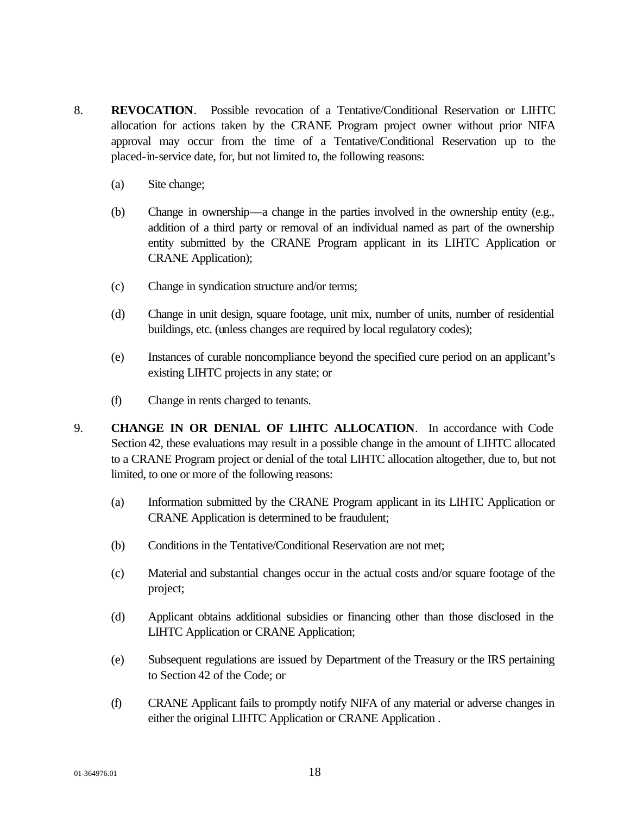- 8. **REVOCATION**.Possible revocation of a Tentative/Conditional Reservation or LIHTC allocation for actions taken by the CRANE Program project owner without prior NIFA approval may occur from the time of a Tentative/Conditional Reservation up to the placed-in-service date, for, but not limited to, the following reasons:
	- (a) Site change;
	- (b) Change in ownership—a change in the parties involved in the ownership entity (e.g., addition of a third party or removal of an individual named as part of the ownership entity submitted by the CRANE Program applicant in its LIHTC Application or CRANE Application);
	- (c) Change in syndication structure and/or terms;
	- (d) Change in unit design, square footage, unit mix, number of units, number of residential buildings, etc. (unless changes are required by local regulatory codes);
	- (e) Instances of curable noncompliance beyond the specified cure period on an applicant's existing LIHTC projects in any state; or
	- (f) Change in rents charged to tenants.
- 9. **CHANGE IN OR DENIAL OF LIHTC ALLOCATION**. In accordance with Code Section 42, these evaluations may result in a possible change in the amount of LIHTC allocated to a CRANE Program project or denial of the total LIHTC allocation altogether, due to, but not limited, to one or more of the following reasons:
	- (a) Information submitted by the CRANE Program applicant in its LIHTC Application or CRANE Application is determined to be fraudulent;
	- (b) Conditions in the Tentative/Conditional Reservation are not met;
	- (c) Material and substantial changes occur in the actual costs and/or square footage of the project;
	- (d) Applicant obtains additional subsidies or financing other than those disclosed in the LIHTC Application or CRANE Application;
	- (e) Subsequent regulations are issued by Department of the Treasury or the IRS pertaining to Section 42 of the Code; or
	- (f) CRANE Applicant fails to promptly notify NIFA of any material or adverse changes in either the original LIHTC Application or CRANE Application .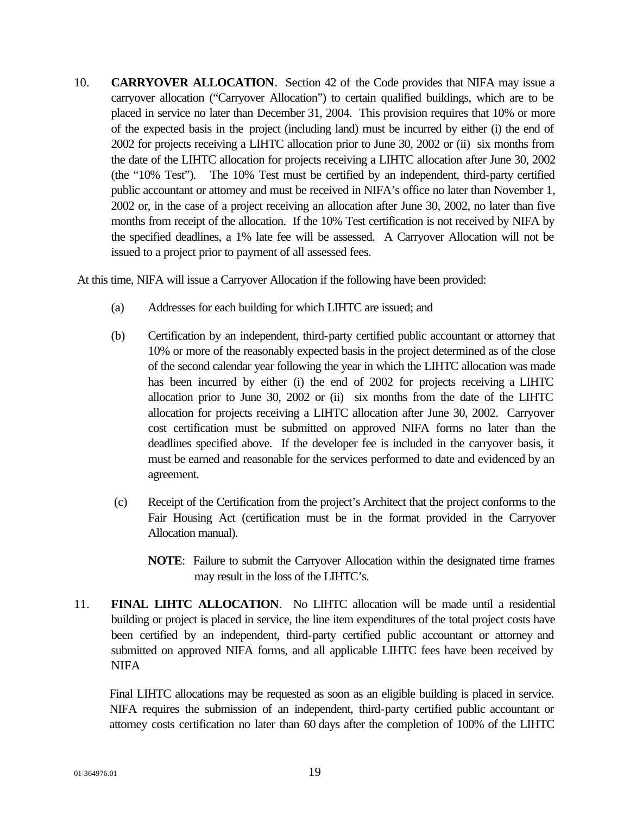10. **CARRYOVER ALLOCATION**. Section 42 of the Code provides that NIFA may issue a carryover allocation ("Carryover Allocation") to certain qualified buildings, which are to be placed in service no later than December 31, 2004. This provision requires that 10% or more of the expected basis in the project (including land) must be incurred by either (i) the end of 2002 for projects receiving a LIHTC allocation prior to June 30, 2002 or (ii) six months from the date of the LIHTC allocation for projects receiving a LIHTC allocation after June 30, 2002 (the "10% Test"). The 10% Test must be certified by an independent, third-party certified public accountant or attorney and must be received in NIFA's office no later than November 1, 2002 or, in the case of a project receiving an allocation after June 30, 2002, no later than five months from receipt of the allocation. If the 10% Test certification is not received by NIFA by the specified deadlines, a 1% late fee will be assessed. A Carryover Allocation will not be issued to a project prior to payment of all assessed fees.

At this time, NIFA will issue a Carryover Allocation if the following have been provided:

- (a) Addresses for each building for which LIHTC are issued; and
- (b) Certification by an independent, third-party certified public accountant or attorney that 10% or more of the reasonably expected basis in the project determined as of the close of the second calendar year following the year in which the LIHTC allocation was made has been incurred by either (i) the end of 2002 for projects receiving a LIHTC allocation prior to June 30, 2002 or (ii) six months from the date of the LIHTC allocation for projects receiving a LIHTC allocation after June 30, 2002. Carryover cost certification must be submitted on approved NIFA forms no later than the deadlines specified above. If the developer fee is included in the carryover basis, it must be earned and reasonable for the services performed to date and evidenced by an agreement.
- (c) Receipt of the Certification from the project's Architect that the project conforms to the Fair Housing Act (certification must be in the format provided in the Carryover Allocation manual).
	- **NOTE**: Failure to submit the Carryover Allocation within the designated time frames may result in the loss of the LIHTC's.
- 11. **FINAL LIHTC ALLOCATION**. No LIHTC allocation will be made until a residential building or project is placed in service, the line item expenditures of the total project costs have been certified by an independent, third-party certified public accountant or attorney and submitted on approved NIFA forms, and all applicable LIHTC fees have been received by NIFA

Final LIHTC allocations may be requested as soon as an eligible building is placed in service. NIFA requires the submission of an independent, third-party certified public accountant or attorney costs certification no later than 60 days after the completion of 100% of the LIHTC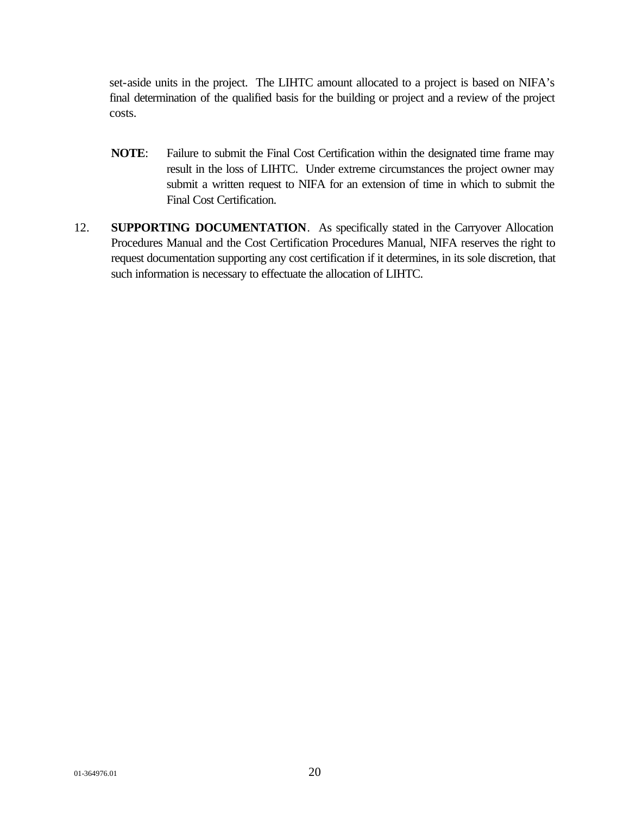set-aside units in the project. The LIHTC amount allocated to a project is based on NIFA's final determination of the qualified basis for the building or project and a review of the project costs.

- **NOTE**: Failure to submit the Final Cost Certification within the designated time frame may result in the loss of LIHTC. Under extreme circumstances the project owner may submit a written request to NIFA for an extension of time in which to submit the Final Cost Certification.
- 12. **SUPPORTING DOCUMENTATION**. As specifically stated in the Carryover Allocation Procedures Manual and the Cost Certification Procedures Manual, NIFA reserves the right to request documentation supporting any cost certification if it determines, in its sole discretion, that such information is necessary to effectuate the allocation of LIHTC.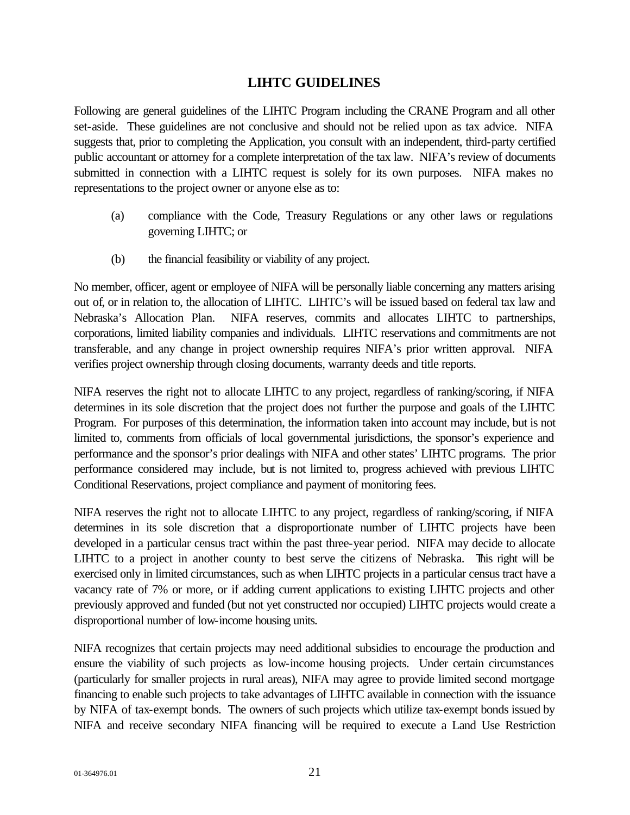#### **LIHTC GUIDELINES**

Following are general guidelines of the LIHTC Program including the CRANE Program and all other set-aside. These guidelines are not conclusive and should not be relied upon as tax advice. NIFA suggests that, prior to completing the Application, you consult with an independent, third-party certified public accountant or attorney for a complete interpretation of the tax law. NIFA's review of documents submitted in connection with a LIHTC request is solely for its own purposes. NIFA makes no representations to the project owner or anyone else as to:

- (a) compliance with the Code, Treasury Regulations or any other laws or regulations governing LIHTC; or
- (b) the financial feasibility or viability of any project.

No member, officer, agent or employee of NIFA will be personally liable concerning any matters arising out of, or in relation to, the allocation of LIHTC. LIHTC's will be issued based on federal tax law and Nebraska's Allocation Plan. NIFA reserves, commits and allocates LIHTC to partnerships, corporations, limited liability companies and individuals. LIHTC reservations and commitments are not transferable, and any change in project ownership requires NIFA's prior written approval. NIFA verifies project ownership through closing documents, warranty deeds and title reports.

NIFA reserves the right not to allocate LIHTC to any project, regardless of ranking/scoring, if NIFA determines in its sole discretion that the project does not further the purpose and goals of the LIHTC Program. For purposes of this determination, the information taken into account may include, but is not limited to, comments from officials of local governmental jurisdictions, the sponsor's experience and performance and the sponsor's prior dealings with NIFA and other states' LIHTC programs. The prior performance considered may include, but is not limited to, progress achieved with previous LIHTC Conditional Reservations, project compliance and payment of monitoring fees.

NIFA reserves the right not to allocate LIHTC to any project, regardless of ranking/scoring, if NIFA determines in its sole discretion that a disproportionate number of LIHTC projects have been developed in a particular census tract within the past three-year period. NIFA may decide to allocate LIHTC to a project in another county to best serve the citizens of Nebraska. This right will be exercised only in limited circumstances, such as when LIHTC projects in a particular census tract have a vacancy rate of 7% or more, or if adding current applications to existing LIHTC projects and other previously approved and funded (but not yet constructed nor occupied) LIHTC projects would create a disproportional number of low-income housing units.

NIFA recognizes that certain projects may need additional subsidies to encourage the production and ensure the viability of such projects as low-income housing projects. Under certain circumstances (particularly for smaller projects in rural areas), NIFA may agree to provide limited second mortgage financing to enable such projects to take advantages of LIHTC available in connection with the issuance by NIFA of tax-exempt bonds. The owners of such projects which utilize tax-exempt bonds issued by NIFA and receive secondary NIFA financing will be required to execute a Land Use Restriction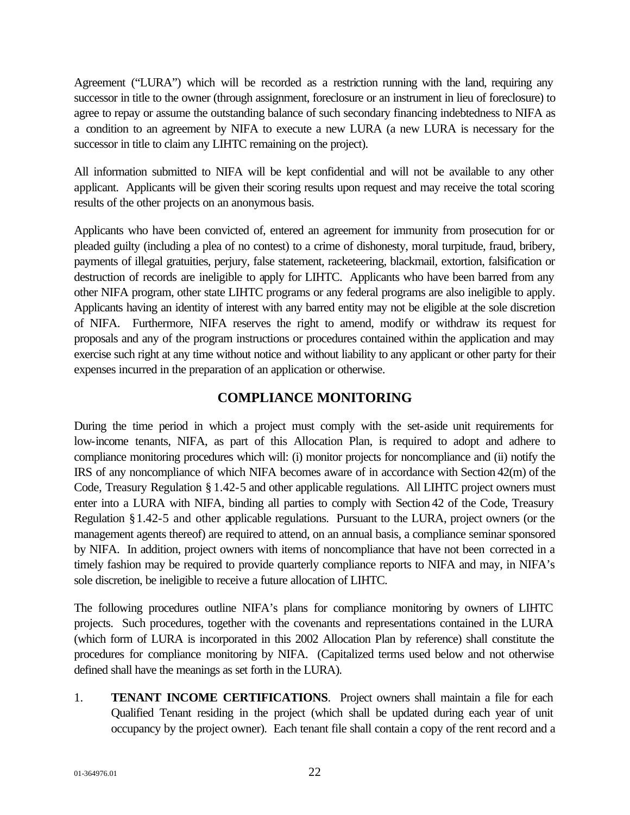Agreement ("LURA") which will be recorded as a restriction running with the land, requiring any successor in title to the owner (through assignment, foreclosure or an instrument in lieu of foreclosure) to agree to repay or assume the outstanding balance of such secondary financing indebtedness to NIFA as a condition to an agreement by NIFA to execute a new LURA (a new LURA is necessary for the successor in title to claim any LIHTC remaining on the project).

All information submitted to NIFA will be kept confidential and will not be available to any other applicant. Applicants will be given their scoring results upon request and may receive the total scoring results of the other projects on an anonymous basis.

Applicants who have been convicted of, entered an agreement for immunity from prosecution for or pleaded guilty (including a plea of no contest) to a crime of dishonesty, moral turpitude, fraud, bribery, payments of illegal gratuities, perjury, false statement, racketeering, blackmail, extortion, falsification or destruction of records are ineligible to apply for LIHTC. Applicants who have been barred from any other NIFA program, other state LIHTC programs or any federal programs are also ineligible to apply. Applicants having an identity of interest with any barred entity may not be eligible at the sole discretion of NIFA. Furthermore, NIFA reserves the right to amend, modify or withdraw its request for proposals and any of the program instructions or procedures contained within the application and may exercise such right at any time without notice and without liability to any applicant or other party for their expenses incurred in the preparation of an application or otherwise.

### **COMPLIANCE MONITORING**

During the time period in which a project must comply with the set-aside unit requirements for low-income tenants, NIFA, as part of this Allocation Plan, is required to adopt and adhere to compliance monitoring procedures which will: (i) monitor projects for noncompliance and (ii) notify the IRS of any noncompliance of which NIFA becomes aware of in accordance with Section 42(m) of the Code, Treasury Regulation § 1.42-5 and other applicable regulations. All LIHTC project owners must enter into a LURA with NIFA, binding all parties to comply with Section 42 of the Code, Treasury Regulation §1.42-5 and other applicable regulations. Pursuant to the LURA, project owners (or the management agents thereof) are required to attend, on an annual basis, a compliance seminar sponsored by NIFA. In addition, project owners with items of noncompliance that have not been corrected in a timely fashion may be required to provide quarterly compliance reports to NIFA and may, in NIFA's sole discretion, be ineligible to receive a future allocation of LIHTC.

The following procedures outline NIFA's plans for compliance monitoring by owners of LIHTC projects. Such procedures, together with the covenants and representations contained in the LURA (which form of LURA is incorporated in this 2002 Allocation Plan by reference) shall constitute the procedures for compliance monitoring by NIFA. (Capitalized terms used below and not otherwise defined shall have the meanings as set forth in the LURA).

1. **TENANT INCOME CERTIFICATIONS**. Project owners shall maintain a file for each Qualified Tenant residing in the project (which shall be updated during each year of unit occupancy by the project owner). Each tenant file shall contain a copy of the rent record and a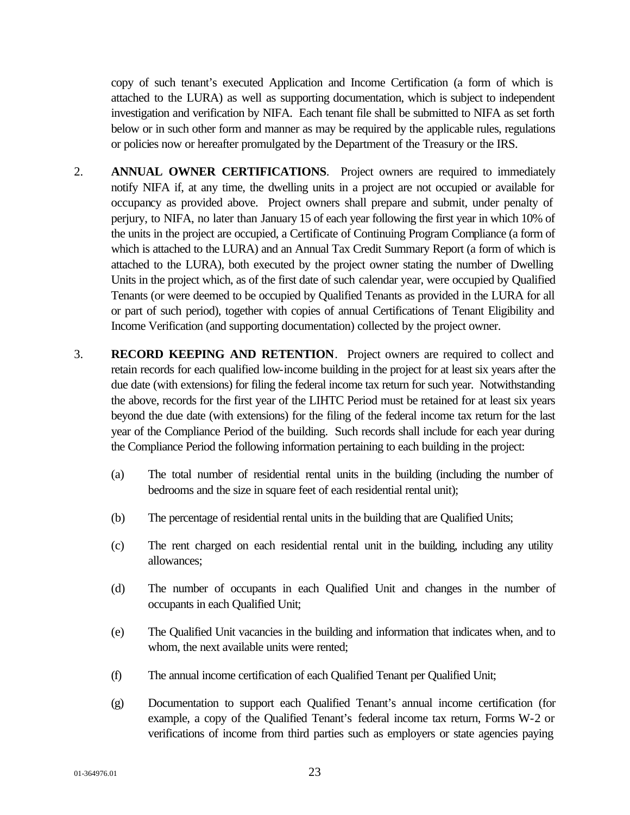copy of such tenant's executed Application and Income Certification (a form of which is attached to the LURA) as well as supporting documentation, which is subject to independent investigation and verification by NIFA. Each tenant file shall be submitted to NIFA as set forth below or in such other form and manner as may be required by the applicable rules, regulations or policies now or hereafter promulgated by the Department of the Treasury or the IRS.

- 2. **ANNUAL OWNER CERTIFICATIONS**. Project owners are required to immediately notify NIFA if, at any time, the dwelling units in a project are not occupied or available for occupancy as provided above. Project owners shall prepare and submit, under penalty of perjury, to NIFA, no later than January 15 of each year following the first year in which 10% of the units in the project are occupied, a Certificate of Continuing Program Compliance (a form of which is attached to the LURA) and an Annual Tax Credit Summary Report (a form of which is attached to the LURA), both executed by the project owner stating the number of Dwelling Units in the project which, as of the first date of such calendar year, were occupied by Qualified Tenants (or were deemed to be occupied by Qualified Tenants as provided in the LURA for all or part of such period), together with copies of annual Certifications of Tenant Eligibility and Income Verification (and supporting documentation) collected by the project owner.
- 3. **RECORD KEEPING AND RETENTION**. Project owners are required to collect and retain records for each qualified low-income building in the project for at least six years after the due date (with extensions) for filing the federal income tax return for such year. Notwithstanding the above, records for the first year of the LIHTC Period must be retained for at least six years beyond the due date (with extensions) for the filing of the federal income tax return for the last year of the Compliance Period of the building. Such records shall include for each year during the Compliance Period the following information pertaining to each building in the project:
	- (a) The total number of residential rental units in the building (including the number of bedrooms and the size in square feet of each residential rental unit);
	- (b) The percentage of residential rental units in the building that are Qualified Units;
	- (c) The rent charged on each residential rental unit in the building, including any utility allowances;
	- (d) The number of occupants in each Qualified Unit and changes in the number of occupants in each Qualified Unit;
	- (e) The Qualified Unit vacancies in the building and information that indicates when, and to whom, the next available units were rented:
	- (f) The annual income certification of each Qualified Tenant per Qualified Unit;
	- (g) Documentation to support each Qualified Tenant's annual income certification (for example, a copy of the Qualified Tenant's federal income tax return, Forms W-2 or verifications of income from third parties such as employers or state agencies paying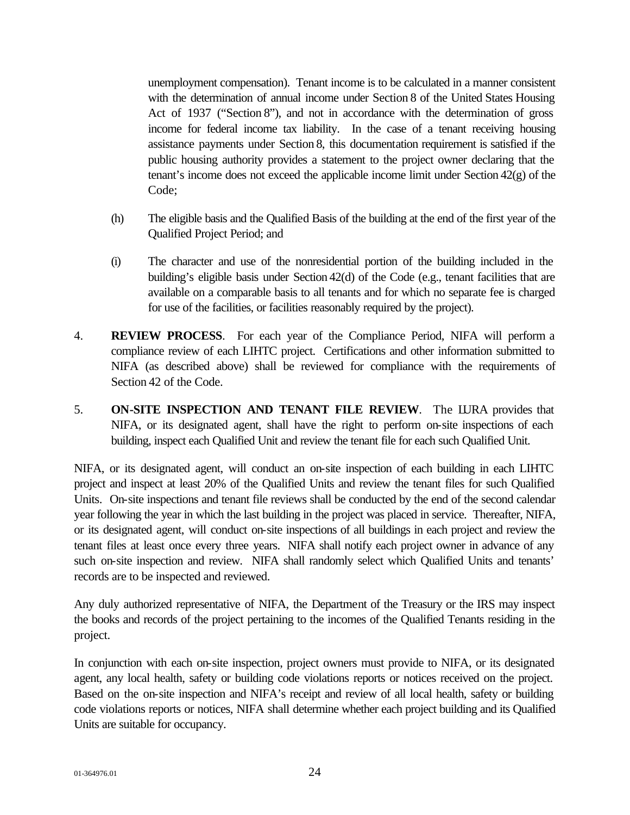unemployment compensation). Tenant income is to be calculated in a manner consistent with the determination of annual income under Section 8 of the United States Housing Act of 1937 ("Section 8"), and not in accordance with the determination of gross income for federal income tax liability. In the case of a tenant receiving housing assistance payments under Section 8, this documentation requirement is satisfied if the public housing authority provides a statement to the project owner declaring that the tenant's income does not exceed the applicable income limit under Section 42(g) of the Code;

- (h) The eligible basis and the Qualified Basis of the building at the end of the first year of the Qualified Project Period; and
- (i) The character and use of the nonresidential portion of the building included in the building's eligible basis under Section 42(d) of the Code (e.g., tenant facilities that are available on a comparable basis to all tenants and for which no separate fee is charged for use of the facilities, or facilities reasonably required by the project).
- 4. **REVIEW PROCESS**. For each year of the Compliance Period, NIFA will perform a compliance review of each LIHTC project. Certifications and other information submitted to NIFA (as described above) shall be reviewed for compliance with the requirements of Section 42 of the Code.
- 5. **ON-SITE INSPECTION AND TENANT FILE REVIEW**. The LURA provides that NIFA, or its designated agent, shall have the right to perform on-site inspections of each building, inspect each Qualified Unit and review the tenant file for each such Qualified Unit.

NIFA, or its designated agent, will conduct an on-site inspection of each building in each LIHTC project and inspect at least 20% of the Qualified Units and review the tenant files for such Qualified Units. On-site inspections and tenant file reviews shall be conducted by the end of the second calendar year following the year in which the last building in the project was placed in service. Thereafter, NIFA, or its designated agent, will conduct on-site inspections of all buildings in each project and review the tenant files at least once every three years. NIFA shall notify each project owner in advance of any such on-site inspection and review. NIFA shall randomly select which Qualified Units and tenants' records are to be inspected and reviewed.

Any duly authorized representative of NIFA, the Department of the Treasury or the IRS may inspect the books and records of the project pertaining to the incomes of the Qualified Tenants residing in the project.

In conjunction with each on-site inspection, project owners must provide to NIFA, or its designated agent, any local health, safety or building code violations reports or notices received on the project. Based on the on-site inspection and NIFA's receipt and review of all local health, safety or building code violations reports or notices, NIFA shall determine whether each project building and its Qualified Units are suitable for occupancy.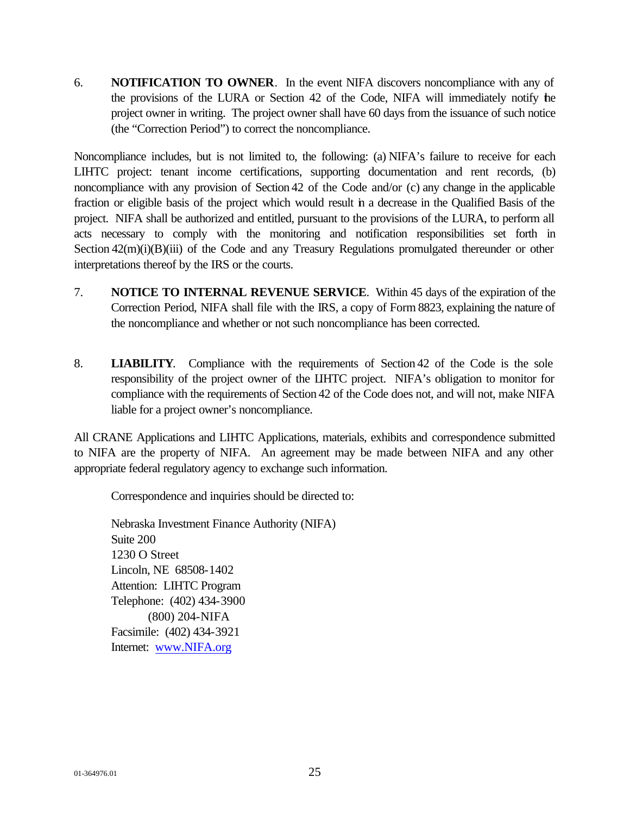6. **NOTIFICATION TO OWNER**. In the event NIFA discovers noncompliance with any of the provisions of the LURA or Section 42 of the Code, NIFA will immediately notify the project owner in writing. The project owner shall have 60 days from the issuance of such notice (the "Correction Period") to correct the noncompliance.

Noncompliance includes, but is not limited to, the following: (a) NIFA's failure to receive for each LIHTC project: tenant income certifications, supporting documentation and rent records, (b) noncompliance with any provision of Section 42 of the Code and/or (c) any change in the applicable fraction or eligible basis of the project which would result in a decrease in the Qualified Basis of the project. NIFA shall be authorized and entitled, pursuant to the provisions of the LURA, to perform all acts necessary to comply with the monitoring and notification responsibilities set forth in Section  $42(m)(i)(B)(iii)$  of the Code and any Treasury Regulations promulgated thereunder or other interpretations thereof by the IRS or the courts.

- 7. **NOTICE TO INTERNAL REVENUE SERVICE**. Within 45 days of the expiration of the Correction Period, NIFA shall file with the IRS, a copy of Form 8823, explaining the nature of the noncompliance and whether or not such noncompliance has been corrected.
- 8. **LIABILITY**. Compliance with the requirements of Section 42 of the Code is the sole responsibility of the project owner of the LIHTC project. NIFA's obligation to monitor for compliance with the requirements of Section 42 of the Code does not, and will not, make NIFA liable for a project owner's noncompliance.

All CRANE Applications and LIHTC Applications, materials, exhibits and correspondence submitted to NIFA are the property of NIFA. An agreement may be made between NIFA and any other appropriate federal regulatory agency to exchange such information.

Correspondence and inquiries should be directed to:

Nebraska Investment Finance Authority (NIFA) Suite 200 1230 O Street Lincoln, NE 68508-1402 Attention: LIHTC Program Telephone: (402) 434-3900 (800) 204-NIFA Facsimile: (402) 434-3921 Internet: www.NIFA.org